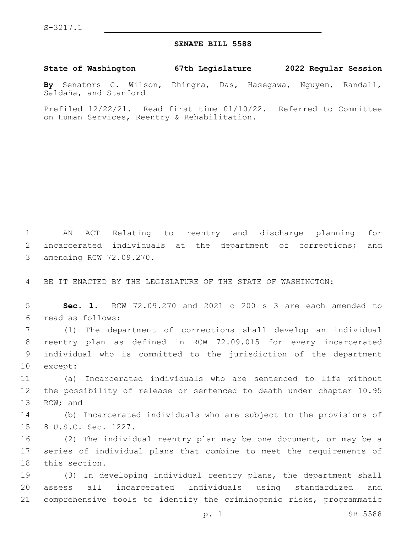S-3217.1

## **SENATE BILL 5588**

**State of Washington 67th Legislature 2022 Regular Session**

**By** Senators C. Wilson, Dhingra, Das, Hasegawa, Nguyen, Randall, Saldaña, and Stanford

Prefiled 12/22/21. Read first time 01/10/22. Referred to Committee on Human Services, Reentry & Rehabilitation.

1 AN ACT Relating to reentry and discharge planning for 2 incarcerated individuals at the department of corrections; and 3 amending RCW 72.09.270.

4 BE IT ENACTED BY THE LEGISLATURE OF THE STATE OF WASHINGTON:

5 **Sec. 1.** RCW 72.09.270 and 2021 c 200 s 3 are each amended to read as follows:6

 (1) The department of corrections shall develop an individual reentry plan as defined in RCW 72.09.015 for every incarcerated individual who is committed to the jurisdiction of the department 10 except:

11 (a) Incarcerated individuals who are sentenced to life without 12 the possibility of release or sentenced to death under chapter 10.95 13 RCW; and

14 (b) Incarcerated individuals who are subject to the provisions of 15 8 U.S.C. Sec. 1227.

16 (2) The individual reentry plan may be one document, or may be a 17 series of individual plans that combine to meet the requirements of 18 this section.

19 (3) In developing individual reentry plans, the department shall 20 assess all incarcerated individuals using standardized and 21 comprehensive tools to identify the criminogenic risks, programmatic

p. 1 SB 5588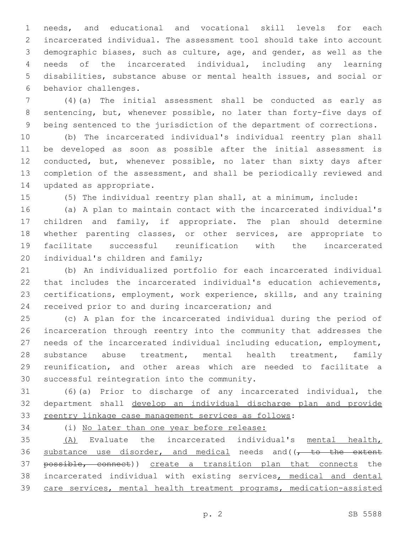needs, and educational and vocational skill levels for each incarcerated individual. The assessment tool should take into account demographic biases, such as culture, age, and gender, as well as the needs of the incarcerated individual, including any learning disabilities, substance abuse or mental health issues, and social or 6 behavior challenges.

 (4)(a) The initial assessment shall be conducted as early as sentencing, but, whenever possible, no later than forty-five days of being sentenced to the jurisdiction of the department of corrections.

 (b) The incarcerated individual's individual reentry plan shall be developed as soon as possible after the initial assessment is conducted, but, whenever possible, no later than sixty days after completion of the assessment, and shall be periodically reviewed and 14 updated as appropriate.

(5) The individual reentry plan shall, at a minimum, include:

 (a) A plan to maintain contact with the incarcerated individual's children and family, if appropriate. The plan should determine whether parenting classes, or other services, are appropriate to facilitate successful reunification with the incarcerated 20 individual's children and family;

 (b) An individualized portfolio for each incarcerated individual that includes the incarcerated individual's education achievements, certifications, employment, work experience, skills, and any training 24 received prior to and during incarceration; and

 (c) A plan for the incarcerated individual during the period of incarceration through reentry into the community that addresses the needs of the incarcerated individual including education, employment, substance abuse treatment, mental health treatment, family reunification, and other areas which are needed to facilitate a 30 successful reintegration into the community.

 (6)(a) Prior to discharge of any incarcerated individual, the department shall develop an individual discharge plan and provide 33 reentry linkage case management services as follows:

(i) No later than one year before release:

 (A) Evaluate the incarcerated individual's mental health, 36 substance use disorder, and medical needs and( $\sqrt{t}$  to the extent 37 possible, connect)) create a transition plan that connects the incarcerated individual with existing services, medical and dental care services, mental health treatment programs, medication-assisted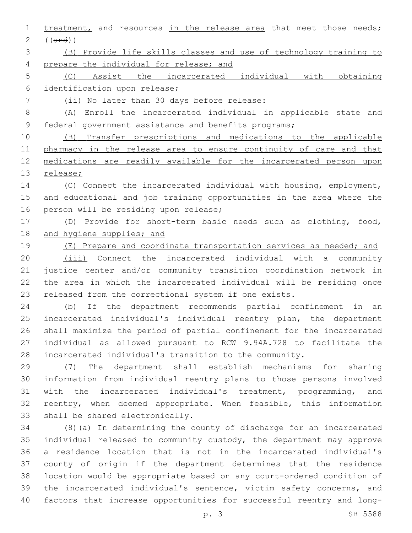1 treatment, and resources in the release area that meet those needs; ((and))

 (B) Provide life skills classes and use of technology training to prepare the individual for release; and

 (C) Assist the incarcerated individual with obtaining identification upon release;

(ii) No later than 30 days before release:

 (A) Enroll the incarcerated individual in applicable state and 9 federal government assistance and benefits programs;

 (B) Transfer prescriptions and medications to the applicable 11 pharmacy in the release area to ensure continuity of care and that medications are readily available for the incarcerated person upon 13 release;

14 (C) Connect the incarcerated individual with housing, employment, and educational and job training opportunities in the area where the 16 person will be residing upon release;

 (D) Provide for short-term basic needs such as clothing, food, 18 and hygiene supplies; and

19 (E) Prepare and coordinate transportation services as needed; and

20 (iii) Connect the incarcerated individual with a community justice center and/or community transition coordination network in the area in which the incarcerated individual will be residing once released from the correctional system if one exists.

 (b) If the department recommends partial confinement in an incarcerated individual's individual reentry plan, the department shall maximize the period of partial confinement for the incarcerated individual as allowed pursuant to RCW 9.94A.728 to facilitate the incarcerated individual's transition to the community.

 (7) The department shall establish mechanisms for sharing information from individual reentry plans to those persons involved with the incarcerated individual's treatment, programming, and reentry, when deemed appropriate. When feasible, this information 33 shall be shared electronically.

 (8)(a) In determining the county of discharge for an incarcerated individual released to community custody, the department may approve a residence location that is not in the incarcerated individual's county of origin if the department determines that the residence location would be appropriate based on any court-ordered condition of the incarcerated individual's sentence, victim safety concerns, and factors that increase opportunities for successful reentry and long